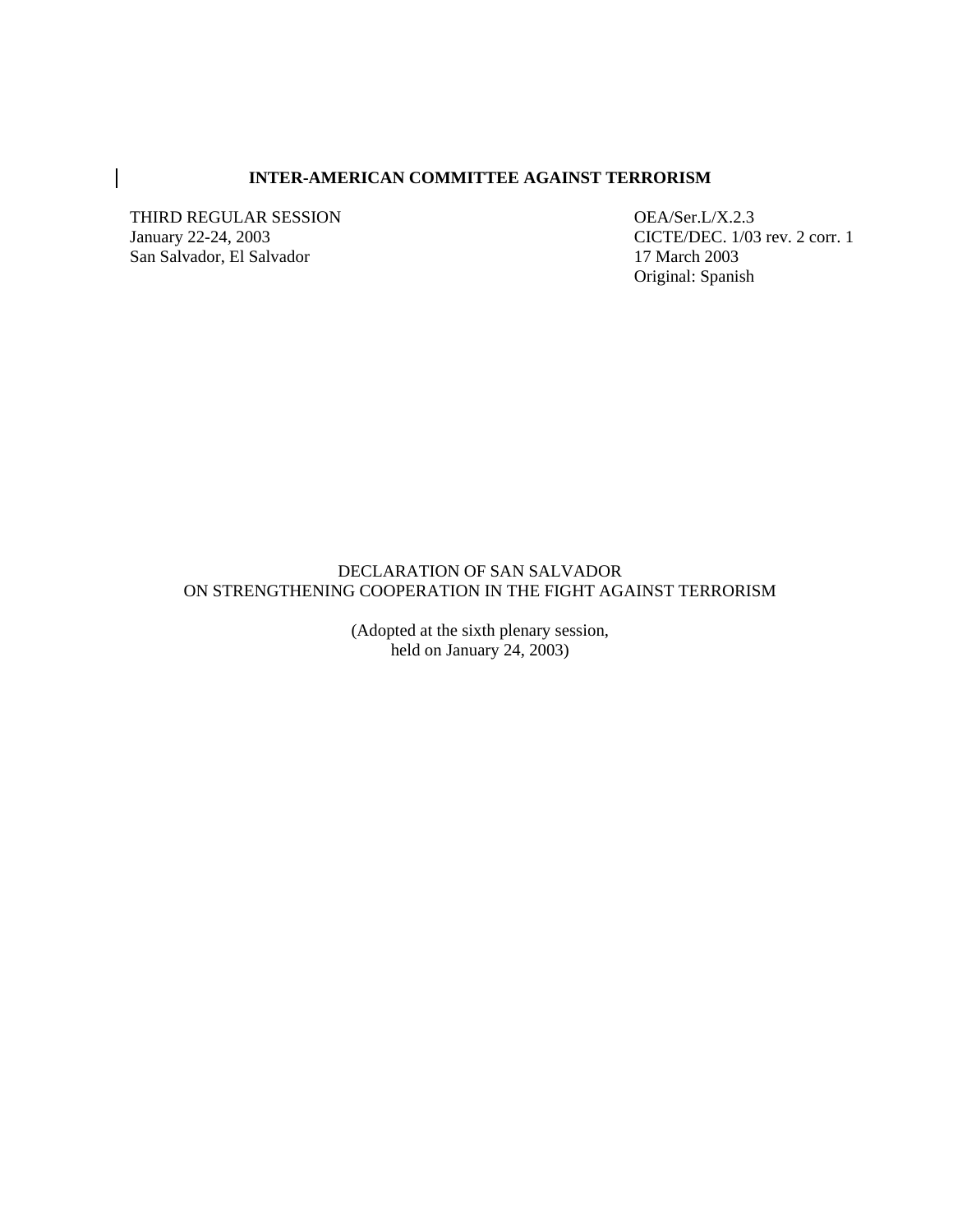## **INTER-AMERICAN COMMITTEE AGAINST TERRORISM**

THIRD REGULAR SESSION OEA/Ser.L/X.2.3<br>January 22-24, 2003 CICTE/DEC. 1/03 San Salvador, El Salvador 17 March 2003

 $\overline{\phantom{a}}$ 

CICTE/DEC. 1/03 rev. 2 corr. 1 Original: Spanish

## DECLARATION OF SAN SALVADOR ON STRENGTHENING COOPERATION IN THE FIGHT AGAINST TERRORISM

(Adopted at the sixth plenary session, held on January 24, 2003)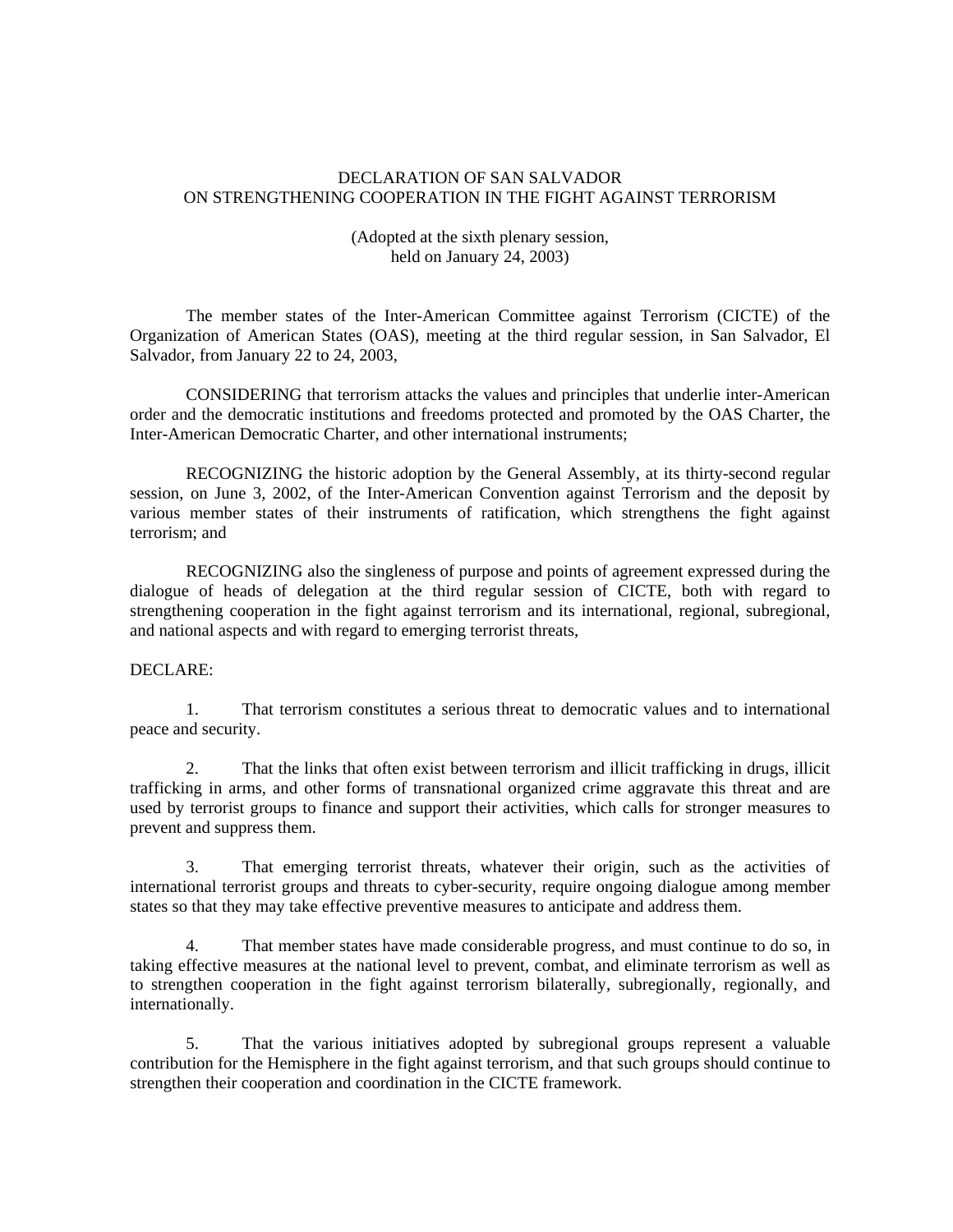## DECLARATION OF SAN SALVADOR ON STRENGTHENING COOPERATION IN THE FIGHT AGAINST TERRORISM

# (Adopted at the sixth plenary session, held on January 24, 2003)

 The member states of the Inter-American Committee against Terrorism (CICTE) of the Organization of American States (OAS), meeting at the third regular session, in San Salvador, El Salvador, from January 22 to 24, 2003,

CONSIDERING that terrorism attacks the values and principles that underlie inter-American order and the democratic institutions and freedoms protected and promoted by the OAS Charter, the Inter-American Democratic Charter, and other international instruments;

 RECOGNIZING the historic adoption by the General Assembly, at its thirty-second regular session, on June 3, 2002, of the Inter-American Convention against Terrorism and the deposit by various member states of their instruments of ratification, which strengthens the fight against terrorism; and

 RECOGNIZING also the singleness of purpose and points of agreement expressed during the dialogue of heads of delegation at the third regular session of CICTE, both with regard to strengthening cooperation in the fight against terrorism and its international, regional, subregional, and national aspects and with regard to emerging terrorist threats,

## DECLARE:

 1. That terrorism constitutes a serious threat to democratic values and to international peace and security.

2. That the links that often exist between terrorism and illicit trafficking in drugs, illicit trafficking in arms, and other forms of transnational organized crime aggravate this threat and are used by terrorist groups to finance and support their activities, which calls for stronger measures to prevent and suppress them.

3. That emerging terrorist threats, whatever their origin, such as the activities of international terrorist groups and threats to cyber-security, require ongoing dialogue among member states so that they may take effective preventive measures to anticipate and address them.

That member states have made considerable progress, and must continue to do so, in taking effective measures at the national level to prevent, combat, and eliminate terrorism as well as to strengthen cooperation in the fight against terrorism bilaterally, subregionally, regionally, and internationally.

 5. That the various initiatives adopted by subregional groups represent a valuable contribution for the Hemisphere in the fight against terrorism, and that such groups should continue to strengthen their cooperation and coordination in the CICTE framework.